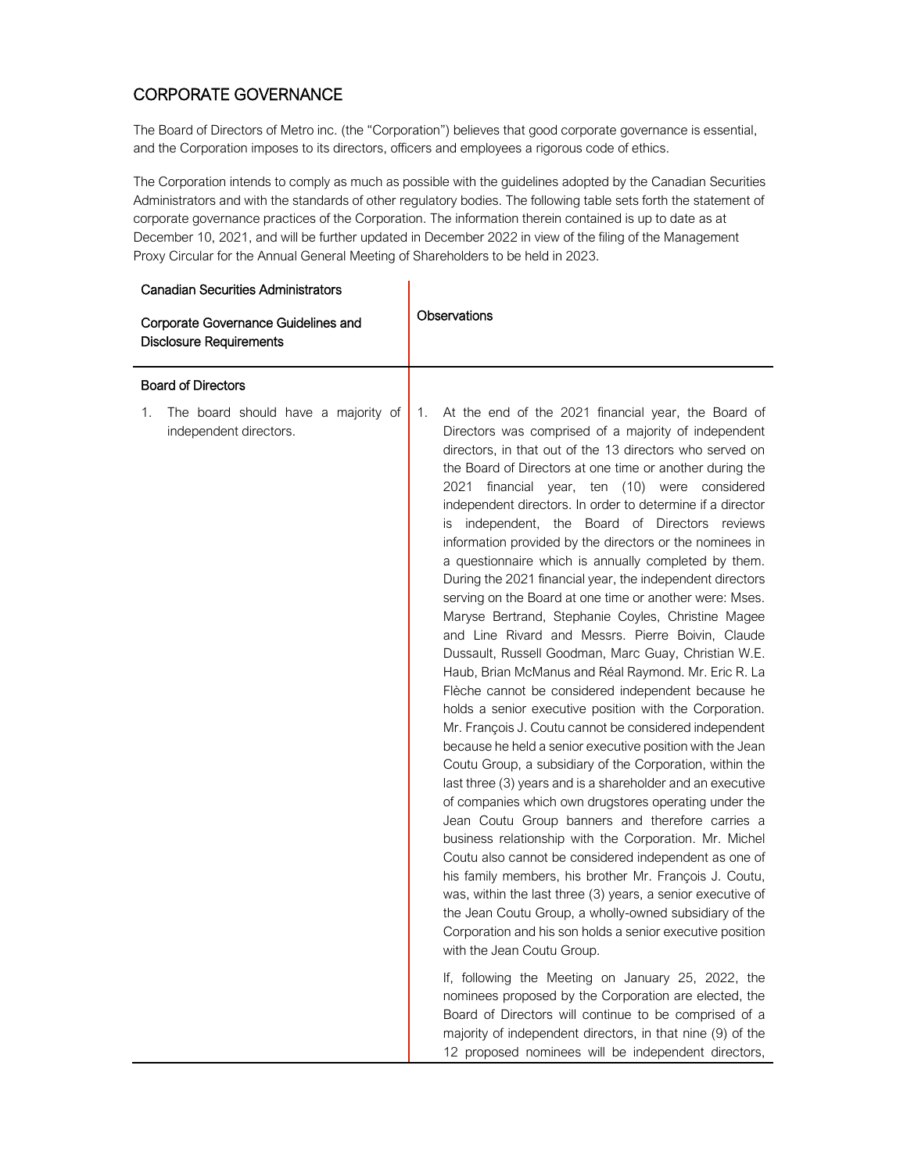## CORPORATE GOVERNANCE

The Board of Directors of Metro inc. (the "Corporation") believes that good corporate governance is essential, and the Corporation imposes to its directors, officers and employees a rigorous code of ethics.

The Corporation intends to comply as much as possible with the guidelines adopted by the Canadian Securities Administrators and with the standards of other regulatory bodies. The following table sets forth the statement of corporate governance practices of the Corporation. The information therein contained is up to date as at December 10, 2021, and will be further updated in December 2022 in view of the filing of the Management Proxy Circular for the Annual General Meeting of Shareholders to be held in 2023.

| <b>Canadian Securities Administrators</b>                             |                                                                                                                                                                                                                                                                                                                                                                                                                                                                                                                                                                                                                                                                                                                                                                                                                                                                                                                                                                                                                                                                                                                                                                                                                                                                                                                                                                                                                                                                                                                                                                                                                                                                                                                                                                                                                                                                                                                                                                                                                                                                      |
|-----------------------------------------------------------------------|----------------------------------------------------------------------------------------------------------------------------------------------------------------------------------------------------------------------------------------------------------------------------------------------------------------------------------------------------------------------------------------------------------------------------------------------------------------------------------------------------------------------------------------------------------------------------------------------------------------------------------------------------------------------------------------------------------------------------------------------------------------------------------------------------------------------------------------------------------------------------------------------------------------------------------------------------------------------------------------------------------------------------------------------------------------------------------------------------------------------------------------------------------------------------------------------------------------------------------------------------------------------------------------------------------------------------------------------------------------------------------------------------------------------------------------------------------------------------------------------------------------------------------------------------------------------------------------------------------------------------------------------------------------------------------------------------------------------------------------------------------------------------------------------------------------------------------------------------------------------------------------------------------------------------------------------------------------------------------------------------------------------------------------------------------------------|
| Corporate Governance Guidelines and<br><b>Disclosure Requirements</b> | Observations                                                                                                                                                                                                                                                                                                                                                                                                                                                                                                                                                                                                                                                                                                                                                                                                                                                                                                                                                                                                                                                                                                                                                                                                                                                                                                                                                                                                                                                                                                                                                                                                                                                                                                                                                                                                                                                                                                                                                                                                                                                         |
| <b>Board of Directors</b>                                             |                                                                                                                                                                                                                                                                                                                                                                                                                                                                                                                                                                                                                                                                                                                                                                                                                                                                                                                                                                                                                                                                                                                                                                                                                                                                                                                                                                                                                                                                                                                                                                                                                                                                                                                                                                                                                                                                                                                                                                                                                                                                      |
| The board should have a majority of<br>1.<br>independent directors.   | At the end of the 2021 financial year, the Board of<br>1.<br>Directors was comprised of a majority of independent<br>directors, in that out of the 13 directors who served on<br>the Board of Directors at one time or another during the<br>financial year, ten (10) were considered<br>2021<br>independent directors. In order to determine if a director<br>independent, the Board of Directors reviews<br>IS<br>information provided by the directors or the nominees in<br>a questionnaire which is annually completed by them.<br>During the 2021 financial year, the independent directors<br>serving on the Board at one time or another were: Mses.<br>Maryse Bertrand, Stephanie Coyles, Christine Magee<br>and Line Rivard and Messrs. Pierre Boivin, Claude<br>Dussault, Russell Goodman, Marc Guay, Christian W.E.<br>Haub, Brian McManus and Réal Raymond. Mr. Eric R. La<br>Flèche cannot be considered independent because he<br>holds a senior executive position with the Corporation.<br>Mr. François J. Coutu cannot be considered independent<br>because he held a senior executive position with the Jean<br>Coutu Group, a subsidiary of the Corporation, within the<br>last three (3) years and is a shareholder and an executive<br>of companies which own drugstores operating under the<br>Jean Coutu Group banners and therefore carries a<br>business relationship with the Corporation. Mr. Michel<br>Coutu also cannot be considered independent as one of<br>his family members, his brother Mr. François J. Coutu,<br>was, within the last three (3) years, a senior executive of<br>the Jean Coutu Group, a wholly-owned subsidiary of the<br>Corporation and his son holds a senior executive position<br>with the Jean Coutu Group.<br>If, following the Meeting on January 25, 2022, the<br>nominees proposed by the Corporation are elected, the<br>Board of Directors will continue to be comprised of a<br>majority of independent directors, in that nine (9) of the<br>12 proposed nominees will be independent directors, |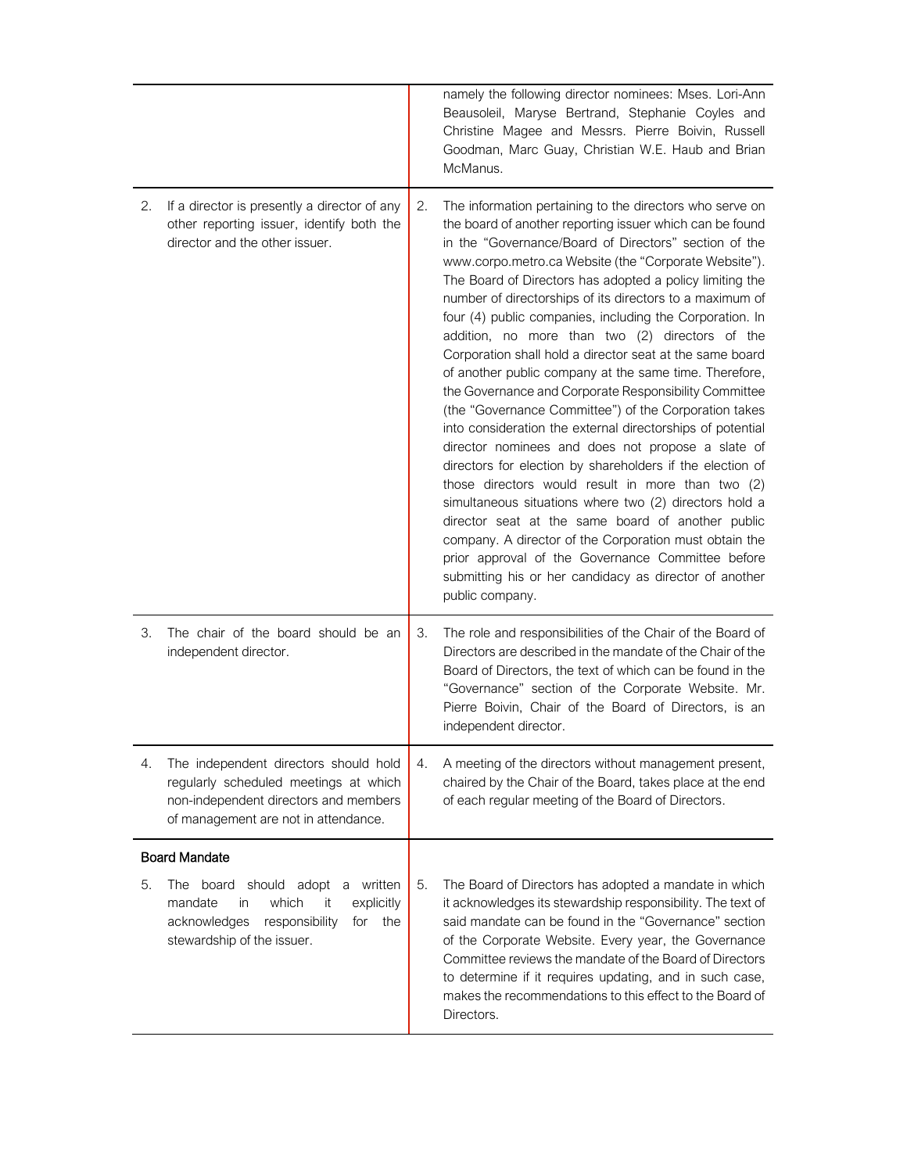|    |                                                                                                                                                                 |    | namely the following director nominees: Mses. Lori-Ann<br>Beausoleil, Maryse Bertrand, Stephanie Coyles and<br>Christine Magee and Messrs. Pierre Boivin, Russell<br>Goodman, Marc Guay, Christian W.E. Haub and Brian<br>McManus.                                                                                                                                                                                                                                                                                                                                                                                                                                                                                                                                                                                                                                                                                                                                                                                                                                                                                                                                                                                                                                    |
|----|-----------------------------------------------------------------------------------------------------------------------------------------------------------------|----|-----------------------------------------------------------------------------------------------------------------------------------------------------------------------------------------------------------------------------------------------------------------------------------------------------------------------------------------------------------------------------------------------------------------------------------------------------------------------------------------------------------------------------------------------------------------------------------------------------------------------------------------------------------------------------------------------------------------------------------------------------------------------------------------------------------------------------------------------------------------------------------------------------------------------------------------------------------------------------------------------------------------------------------------------------------------------------------------------------------------------------------------------------------------------------------------------------------------------------------------------------------------------|
| 2. | If a director is presently a director of any<br>other reporting issuer, identify both the<br>director and the other issuer.                                     | 2. | The information pertaining to the directors who serve on<br>the board of another reporting issuer which can be found<br>in the "Governance/Board of Directors" section of the<br>www.corpo.metro.ca Website (the "Corporate Website").<br>The Board of Directors has adopted a policy limiting the<br>number of directorships of its directors to a maximum of<br>four (4) public companies, including the Corporation. In<br>addition, no more than two (2) directors of the<br>Corporation shall hold a director seat at the same board<br>of another public company at the same time. Therefore,<br>the Governance and Corporate Responsibility Committee<br>(the "Governance Committee") of the Corporation takes<br>into consideration the external directorships of potential<br>director nominees and does not propose a slate of<br>directors for election by shareholders if the election of<br>those directors would result in more than two (2)<br>simultaneous situations where two (2) directors hold a<br>director seat at the same board of another public<br>company. A director of the Corporation must obtain the<br>prior approval of the Governance Committee before<br>submitting his or her candidacy as director of another<br>public company. |
| 3. | The chair of the board should be an<br>independent director.                                                                                                    | 3. | The role and responsibilities of the Chair of the Board of<br>Directors are described in the mandate of the Chair of the<br>Board of Directors, the text of which can be found in the<br>"Governance" section of the Corporate Website. Mr.<br>Pierre Boivin, Chair of the Board of Directors, is an<br>independent director.                                                                                                                                                                                                                                                                                                                                                                                                                                                                                                                                                                                                                                                                                                                                                                                                                                                                                                                                         |
| 4. | The independent directors should hold<br>regularly scheduled meetings at which<br>non-independent directors and members<br>of management are not in attendance. | 4. | A meeting of the directors without management present,<br>chaired by the Chair of the Board, takes place at the end<br>of each regular meeting of the Board of Directors.                                                                                                                                                                                                                                                                                                                                                                                                                                                                                                                                                                                                                                                                                                                                                                                                                                                                                                                                                                                                                                                                                             |
|    | <b>Board Mandate</b>                                                                                                                                            |    |                                                                                                                                                                                                                                                                                                                                                                                                                                                                                                                                                                                                                                                                                                                                                                                                                                                                                                                                                                                                                                                                                                                                                                                                                                                                       |
| 5. | board should adopt a written<br>The<br>which<br>mandate<br>it<br>explicitly<br>in<br>responsibility<br>acknowledges<br>for<br>the<br>stewardship of the issuer. | 5. | The Board of Directors has adopted a mandate in which<br>it acknowledges its stewardship responsibility. The text of<br>said mandate can be found in the "Governance" section<br>of the Corporate Website. Every year, the Governance<br>Committee reviews the mandate of the Board of Directors<br>to determine if it requires updating, and in such case,<br>makes the recommendations to this effect to the Board of<br>Directors.                                                                                                                                                                                                                                                                                                                                                                                                                                                                                                                                                                                                                                                                                                                                                                                                                                 |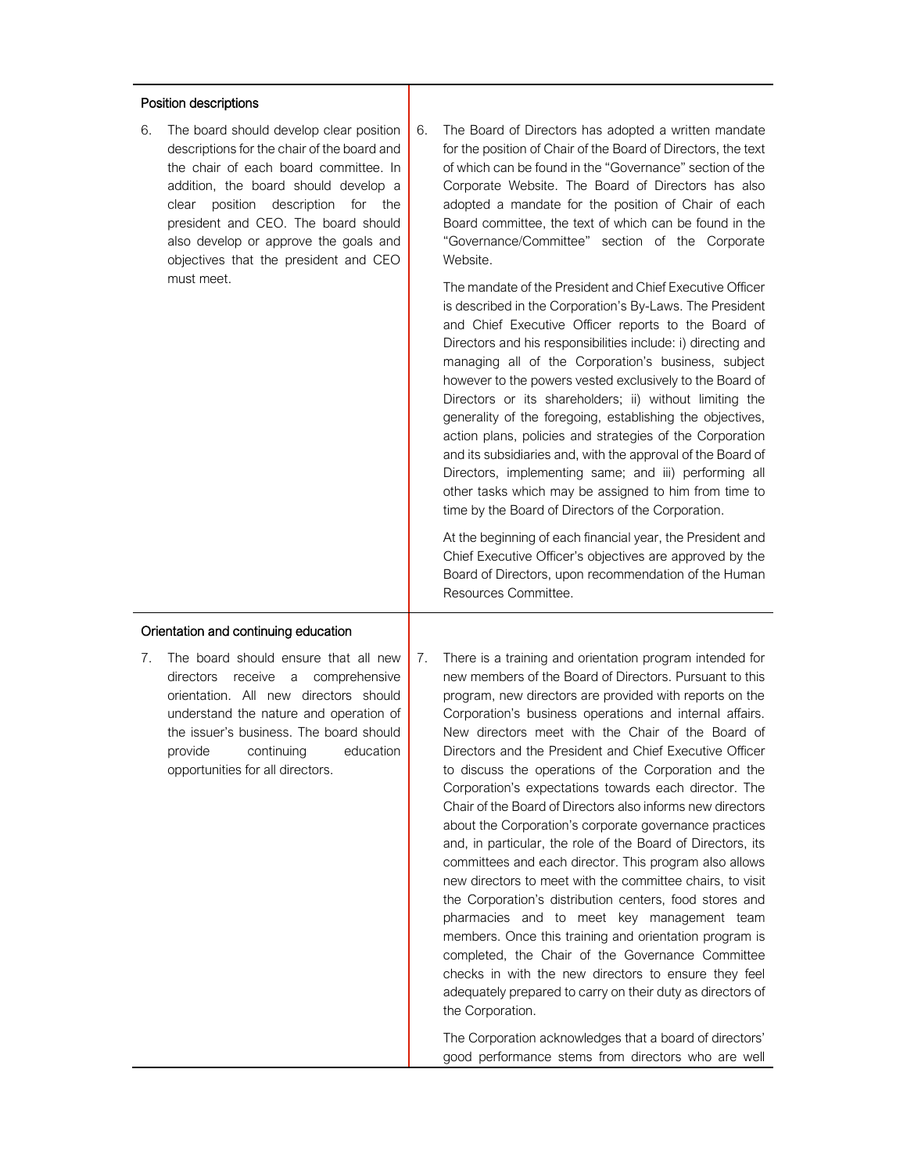## Position descriptions

6. The board should develop clear position descriptions for the chair of the board and the chair of each board committee. In addition, the board should develop a clear position description for the president and CEO. The board should also develop or approve the goals and objectives that the president and CEO must meet.

- Orientation and continuing education
- 7. The board should ensure that all new directors receive a comprehensive orientation. All new directors should understand the nature and operation of the issuer's business. The board should provide continuing education opportunities for all directors.

6. The Board of Directors has adopted a written mandate for the position of Chair of the Board of Directors, the text of which can be found in the "Governance" section of the Corporate Website. The Board of Directors has also adopted a mandate for the position of Chair of each Board committee, the text of which can be found in the "Governance/Committee" section of the Corporate Website.

The mandate of the President and Chief Executive Officer is described in the Corporation's By-Laws. The President and Chief Executive Officer reports to the Board of Directors and his responsibilities include: i) directing and managing all of the Corporation's business, subject however to the powers vested exclusively to the Board of Directors or its shareholders; ii) without limiting the generality of the foregoing, establishing the objectives, action plans, policies and strategies of the Corporation and its subsidiaries and, with the approval of the Board of Directors, implementing same; and iii) performing all other tasks which may be assigned to him from time to time by the Board of Directors of the Corporation.

At the beginning of each financial year, the President and Chief Executive Officer's objectives are approved by the Board of Directors, upon recommendation of the Human Resources Committee.

7. There is a training and orientation program intended for new members of the Board of Directors. Pursuant to this program, new directors are provided with reports on the Corporation's business operations and internal affairs. New directors meet with the Chair of the Board of Directors and the President and Chief Executive Officer to discuss the operations of the Corporation and the Corporation's expectations towards each director. The Chair of the Board of Directors also informs new directors about the Corporation's corporate governance practices and, in particular, the role of the Board of Directors, its committees and each director. This program also allows new directors to meet with the committee chairs, to visit the Corporation's distribution centers, food stores and pharmacies and to meet key management team members. Once this training and orientation program is completed, the Chair of the Governance Committee checks in with the new directors to ensure they feel adequately prepared to carry on their duty as directors of the Corporation.

The Corporation acknowledges that a board of directors' good performance stems from directors who are well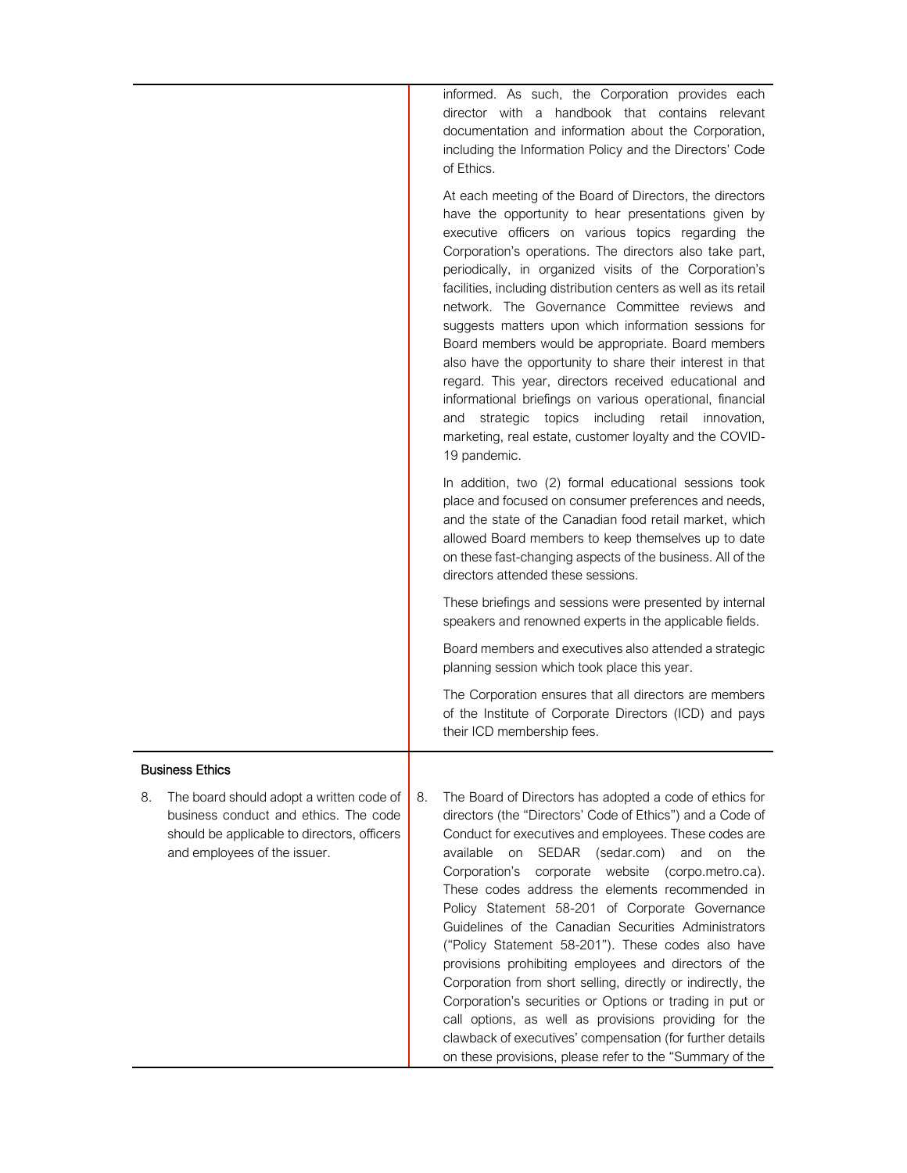informed. As such, the Corporation provides each director with a handbook that contains relevant documentation and information about the Corporation, including the Information Policy and the Directors' Code of Ethics.

|                                                                                                                                                                        | At each meeting of the Board of Directors, the directors<br>have the opportunity to hear presentations given by<br>executive officers on various topics regarding the<br>Corporation's operations. The directors also take part,<br>periodically, in organized visits of the Corporation's<br>facilities, including distribution centers as well as its retail<br>network. The Governance Committee reviews and<br>suggests matters upon which information sessions for<br>Board members would be appropriate. Board members<br>also have the opportunity to share their interest in that<br>regard. This year, directors received educational and<br>informational briefings on various operational, financial<br>topics<br>including<br>retail<br>and<br>strategic<br>innovation,<br>marketing, real estate, customer loyalty and the COVID-<br>19 pandemic.                                             |
|------------------------------------------------------------------------------------------------------------------------------------------------------------------------|------------------------------------------------------------------------------------------------------------------------------------------------------------------------------------------------------------------------------------------------------------------------------------------------------------------------------------------------------------------------------------------------------------------------------------------------------------------------------------------------------------------------------------------------------------------------------------------------------------------------------------------------------------------------------------------------------------------------------------------------------------------------------------------------------------------------------------------------------------------------------------------------------------|
|                                                                                                                                                                        | In addition, two (2) formal educational sessions took<br>place and focused on consumer preferences and needs,<br>and the state of the Canadian food retail market, which<br>allowed Board members to keep themselves up to date<br>on these fast-changing aspects of the business. All of the<br>directors attended these sessions.                                                                                                                                                                                                                                                                                                                                                                                                                                                                                                                                                                        |
|                                                                                                                                                                        | These briefings and sessions were presented by internal<br>speakers and renowned experts in the applicable fields.                                                                                                                                                                                                                                                                                                                                                                                                                                                                                                                                                                                                                                                                                                                                                                                         |
|                                                                                                                                                                        | Board members and executives also attended a strategic<br>planning session which took place this year.                                                                                                                                                                                                                                                                                                                                                                                                                                                                                                                                                                                                                                                                                                                                                                                                     |
|                                                                                                                                                                        | The Corporation ensures that all directors are members<br>of the Institute of Corporate Directors (ICD) and pays<br>their ICD membership fees.                                                                                                                                                                                                                                                                                                                                                                                                                                                                                                                                                                                                                                                                                                                                                             |
| <b>Business Ethics</b>                                                                                                                                                 |                                                                                                                                                                                                                                                                                                                                                                                                                                                                                                                                                                                                                                                                                                                                                                                                                                                                                                            |
| 8.<br>The board should adopt a written code of<br>business conduct and ethics. The code<br>should be applicable to directors, officers<br>and employees of the issuer. | 8.<br>The Board of Directors has adopted a code of ethics for<br>directors (the "Directors' Code of Ethics") and a Code of<br>Conduct for executives and employees. These codes are<br>available<br>SEDAR<br>(sedar.com)<br>and<br>the<br>on<br>on<br>website<br>Corporation's<br>corporate<br>(corpo.metro.ca).<br>These codes address the elements recommended in<br>Policy Statement 58-201 of Corporate Governance<br>Guidelines of the Canadian Securities Administrators<br>("Policy Statement 58-201"). These codes also have<br>provisions prohibiting employees and directors of the<br>Corporation from short selling, directly or indirectly, the<br>Corporation's securities or Options or trading in put or<br>call options, as well as provisions providing for the<br>clawback of executives' compensation (for further details<br>on these provisions, please refer to the "Summary of the |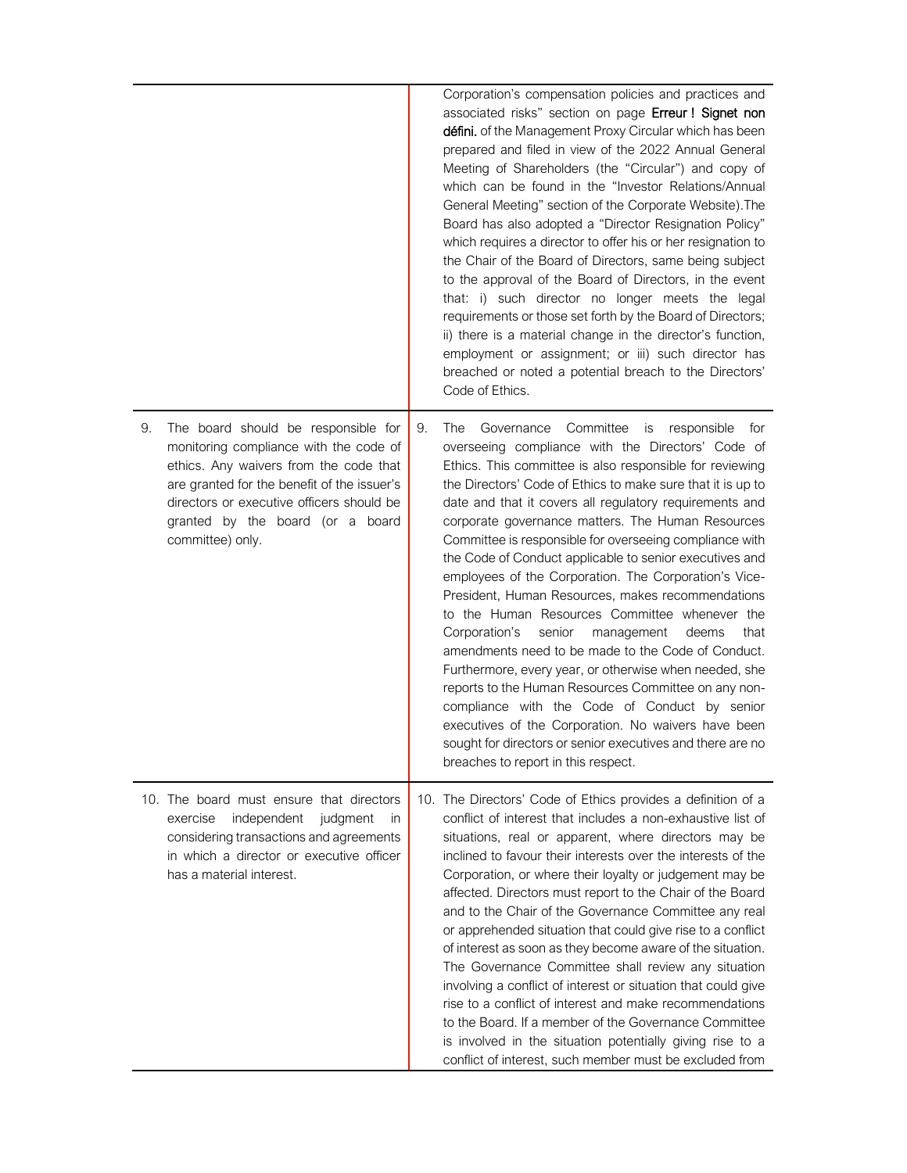|    |                                                                                                                                                                                                                                                                             | Corporation's compensation policies and practices and<br>associated risks" section on page Erreur ! Signet non<br>défini. of the Management Proxy Circular which has been<br>prepared and filed in view of the 2022 Annual General<br>Meeting of Shareholders (the "Circular") and copy of<br>which can be found in the "Investor Relations/Annual<br>General Meeting" section of the Corporate Website). The<br>Board has also adopted a "Director Resignation Policy"<br>which requires a director to offer his or her resignation to<br>the Chair of the Board of Directors, same being subject<br>to the approval of the Board of Directors, in the event<br>that: i) such director no longer meets the legal<br>requirements or those set forth by the Board of Directors;<br>ii) there is a material change in the director's function,<br>employment or assignment; or iii) such director has<br>breached or noted a potential breach to the Directors'<br>Code of Ethics.                                                                                                                 |  |
|----|-----------------------------------------------------------------------------------------------------------------------------------------------------------------------------------------------------------------------------------------------------------------------------|---------------------------------------------------------------------------------------------------------------------------------------------------------------------------------------------------------------------------------------------------------------------------------------------------------------------------------------------------------------------------------------------------------------------------------------------------------------------------------------------------------------------------------------------------------------------------------------------------------------------------------------------------------------------------------------------------------------------------------------------------------------------------------------------------------------------------------------------------------------------------------------------------------------------------------------------------------------------------------------------------------------------------------------------------------------------------------------------------|--|
| 9. | The board should be responsible for<br>monitoring compliance with the code of<br>ethics. Any waivers from the code that<br>are granted for the benefit of the issuer's<br>directors or executive officers should be<br>granted by the board (or a board<br>committee) only. | 9.<br>The<br>Committee<br>Governance<br>is responsible<br>for<br>overseeing compliance with the Directors' Code of<br>Ethics. This committee is also responsible for reviewing<br>the Directors' Code of Ethics to make sure that it is up to<br>date and that it covers all regulatory requirements and<br>corporate governance matters. The Human Resources<br>Committee is responsible for overseeing compliance with<br>the Code of Conduct applicable to senior executives and<br>employees of the Corporation. The Corporation's Vice-<br>President, Human Resources, makes recommendations<br>to the Human Resources Committee whenever the<br>Corporation's<br>senior<br>management<br>that<br>deems<br>amendments need to be made to the Code of Conduct.<br>Furthermore, every year, or otherwise when needed, she<br>reports to the Human Resources Committee on any non-<br>compliance with the Code of Conduct by senior<br>executives of the Corporation. No waivers have been<br>sought for directors or senior executives and there are no<br>breaches to report in this respect. |  |
|    | 10. The board must ensure that directors<br>exercise<br>independent<br>judgment<br>in<br>considering transactions and agreements<br>in which a director or executive officer<br>has a material interest.                                                                    | 10. The Directors' Code of Ethics provides a definition of a<br>conflict of interest that includes a non-exhaustive list of<br>situations, real or apparent, where directors may be<br>inclined to favour their interests over the interests of the<br>Corporation, or where their loyalty or judgement may be<br>affected. Directors must report to the Chair of the Board<br>and to the Chair of the Governance Committee any real<br>or apprehended situation that could give rise to a conflict<br>of interest as soon as they become aware of the situation.<br>The Governance Committee shall review any situation<br>involving a conflict of interest or situation that could give<br>rise to a conflict of interest and make recommendations<br>to the Board. If a member of the Governance Committee<br>is involved in the situation potentially giving rise to a<br>conflict of interest, such member must be excluded from                                                                                                                                                             |  |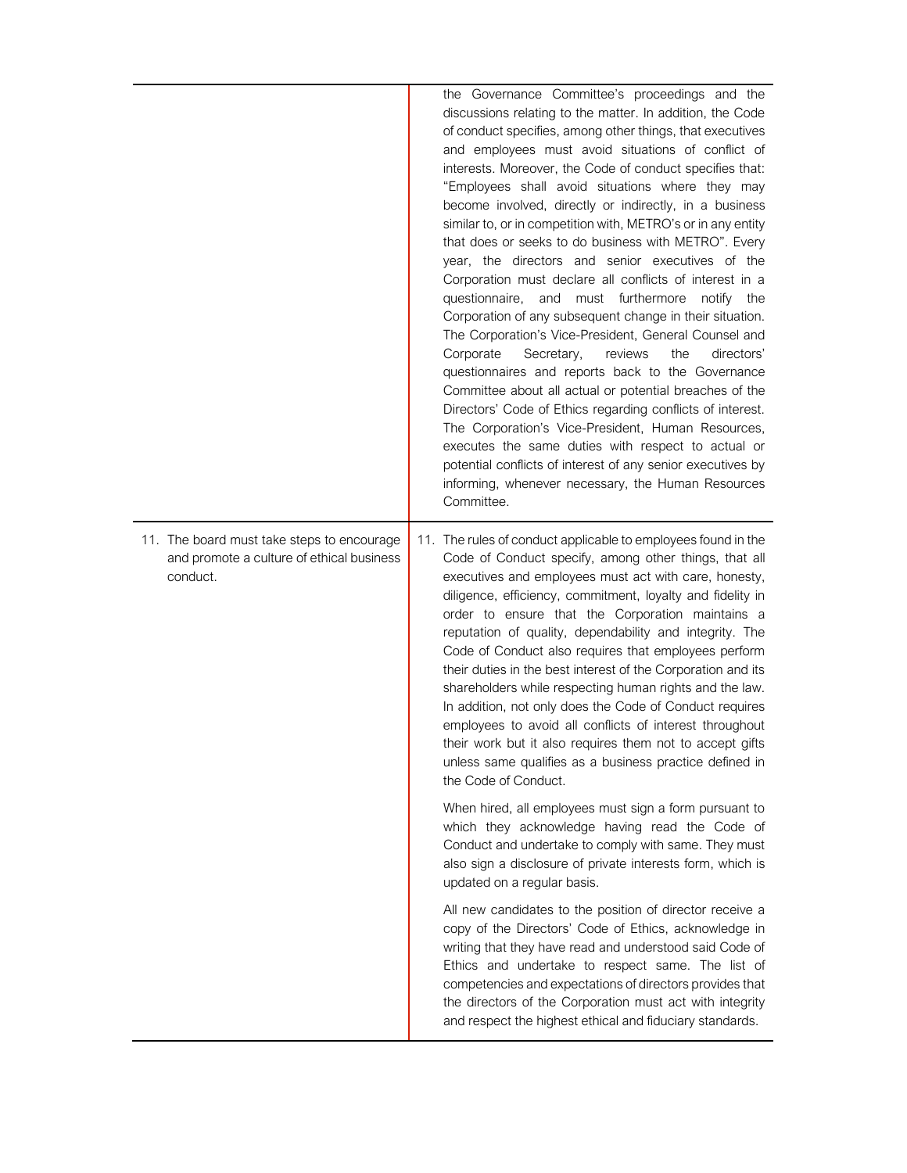|                                                                                                     | the Governance Committee's proceedings and the<br>discussions relating to the matter. In addition, the Code<br>of conduct specifies, among other things, that executives<br>and employees must avoid situations of conflict of<br>interests. Moreover, the Code of conduct specifies that:<br>"Employees shall avoid situations where they may<br>become involved, directly or indirectly, in a business<br>similar to, or in competition with, METRO's or in any entity<br>that does or seeks to do business with METRO". Every<br>year, the directors and senior executives of the<br>Corporation must declare all conflicts of interest in a<br>questionnaire,<br>and must furthermore<br>notify<br>the<br>Corporation of any subsequent change in their situation.<br>The Corporation's Vice-President, General Counsel and<br>Corporate<br>Secretary,<br>reviews<br>the<br>directors'<br>questionnaires and reports back to the Governance<br>Committee about all actual or potential breaches of the<br>Directors' Code of Ethics regarding conflicts of interest.<br>The Corporation's Vice-President, Human Resources,<br>executes the same duties with respect to actual or<br>potential conflicts of interest of any senior executives by<br>informing, whenever necessary, the Human Resources<br>Committee. |
|-----------------------------------------------------------------------------------------------------|-------------------------------------------------------------------------------------------------------------------------------------------------------------------------------------------------------------------------------------------------------------------------------------------------------------------------------------------------------------------------------------------------------------------------------------------------------------------------------------------------------------------------------------------------------------------------------------------------------------------------------------------------------------------------------------------------------------------------------------------------------------------------------------------------------------------------------------------------------------------------------------------------------------------------------------------------------------------------------------------------------------------------------------------------------------------------------------------------------------------------------------------------------------------------------------------------------------------------------------------------------------------------------------------------------------------------|
| 11. The board must take steps to encourage<br>and promote a culture of ethical business<br>conduct. | 11. The rules of conduct applicable to employees found in the<br>Code of Conduct specify, among other things, that all<br>executives and employees must act with care, honesty,<br>diligence, efficiency, commitment, loyalty and fidelity in<br>order to ensure that the Corporation maintains a<br>reputation of quality, dependability and integrity. The<br>Code of Conduct also requires that employees perform<br>their duties in the best interest of the Corporation and its<br>shareholders while respecting human rights and the law.<br>In addition, not only does the Code of Conduct requires<br>employees to avoid all conflicts of interest throughout<br>their work but it also requires them not to accept gifts<br>unless same qualifies as a business practice defined in<br>the Code of Conduct.                                                                                                                                                                                                                                                                                                                                                                                                                                                                                                    |
|                                                                                                     | When hired, all employees must sign a form pursuant to<br>which they acknowledge having read the Code of<br>Conduct and undertake to comply with same. They must<br>also sign a disclosure of private interests form, which is<br>updated on a regular basis.                                                                                                                                                                                                                                                                                                                                                                                                                                                                                                                                                                                                                                                                                                                                                                                                                                                                                                                                                                                                                                                           |
|                                                                                                     | All new candidates to the position of director receive a<br>copy of the Directors' Code of Ethics, acknowledge in<br>writing that they have read and understood said Code of<br>Ethics and undertake to respect same. The list of<br>competencies and expectations of directors provides that<br>the directors of the Corporation must act with integrity<br>and respect the highest ethical and fiduciary standards.                                                                                                                                                                                                                                                                                                                                                                                                                                                                                                                                                                                                                                                                                                                                                                                                                                                                                                   |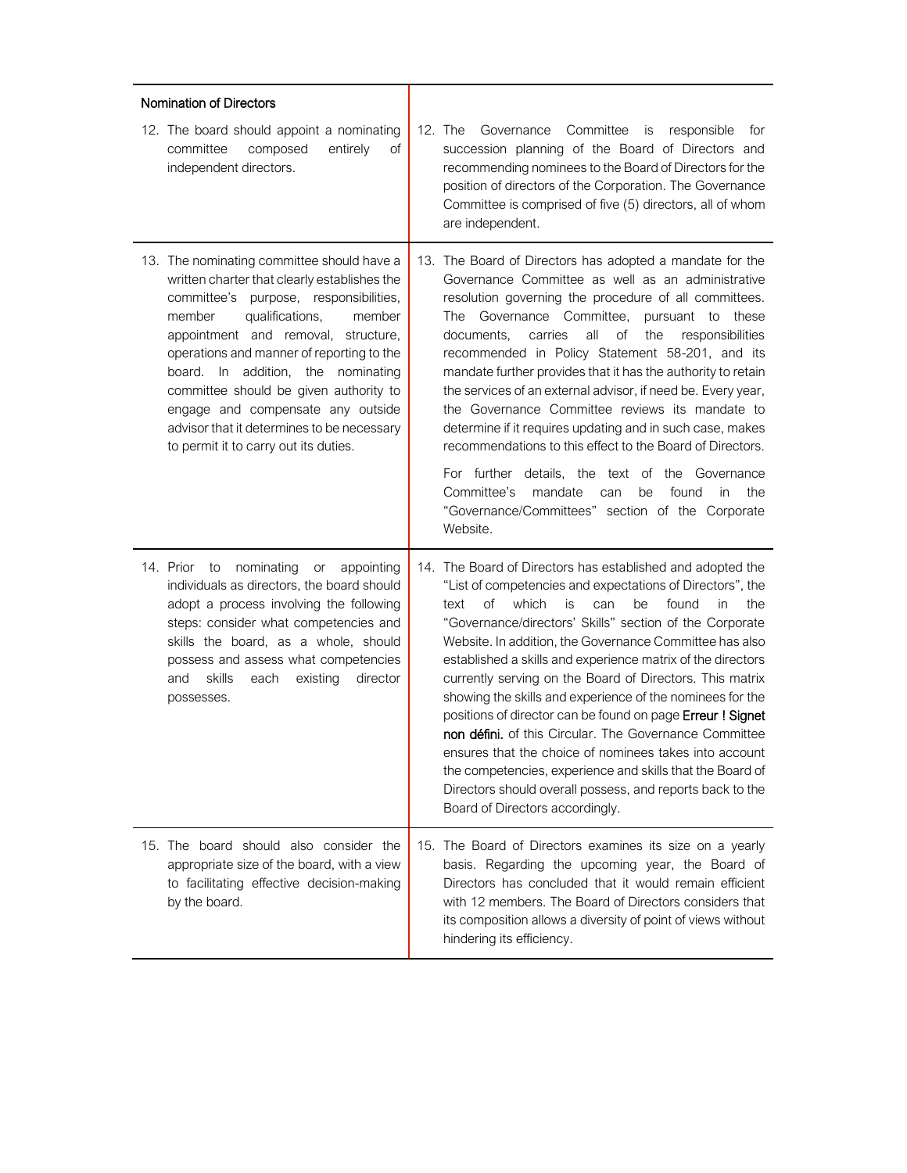| Nomination of Directors                                                                                                                                                                                                                                                                                                                                                                                                                                                     |                                                                                                                                                                                                                                                                                                                                                                                                                                                                                                                                                                                                                                                                                                                                                                                                                                                      |
|-----------------------------------------------------------------------------------------------------------------------------------------------------------------------------------------------------------------------------------------------------------------------------------------------------------------------------------------------------------------------------------------------------------------------------------------------------------------------------|------------------------------------------------------------------------------------------------------------------------------------------------------------------------------------------------------------------------------------------------------------------------------------------------------------------------------------------------------------------------------------------------------------------------------------------------------------------------------------------------------------------------------------------------------------------------------------------------------------------------------------------------------------------------------------------------------------------------------------------------------------------------------------------------------------------------------------------------------|
| 12. The board should appoint a nominating<br>committee<br>composed<br>entirely<br>Οf<br>independent directors.                                                                                                                                                                                                                                                                                                                                                              | 12. The<br>Governance<br>Committee<br>responsible<br><i>is</i><br>tor<br>succession planning of the Board of Directors and<br>recommending nominees to the Board of Directors for the<br>position of directors of the Corporation. The Governance<br>Committee is comprised of five (5) directors, all of whom<br>are independent.                                                                                                                                                                                                                                                                                                                                                                                                                                                                                                                   |
| 13. The nominating committee should have a<br>written charter that clearly establishes the<br>committee's purpose, responsibilities,<br>qualifications,<br>member<br>member<br>appointment and removal, structure,<br>operations and manner of reporting to the<br>board. In addition, the nominating<br>committee should be given authority to<br>engage and compensate any outside<br>advisor that it determines to be necessary<br>to permit it to carry out its duties. | 13. The Board of Directors has adopted a mandate for the<br>Governance Committee as well as an administrative<br>resolution governing the procedure of all committees.<br>The Governance Committee, pursuant to these<br>all<br>$\circ$ of<br>documents,<br>carries<br>the<br>responsibilities<br>recommended in Policy Statement 58-201, and its<br>mandate further provides that it has the authority to retain<br>the services of an external advisor, if need be. Every year,<br>the Governance Committee reviews its mandate to<br>determine if it requires updating and in such case, makes<br>recommendations to this effect to the Board of Directors.<br>For further details, the text of the Governance<br>Committee's<br>mandate<br>the<br>can<br>be<br>found<br>in.<br>"Governance/Committees" section of the Corporate<br>Website.      |
| 14. Prior to<br>nominating<br>appointing<br>or<br>individuals as directors, the board should<br>adopt a process involving the following<br>steps: consider what competencies and<br>skills the board, as a whole, should<br>possess and assess what competencies<br>skills<br>existing<br>director<br>and<br>each<br>possesses.                                                                                                                                             | 14. The Board of Directors has established and adopted the<br>"List of competencies and expectations of Directors", the<br>Οf<br>which<br>is<br>be<br>found<br>the<br>text<br>can<br>in<br>"Governance/directors' Skills" section of the Corporate<br>Website. In addition, the Governance Committee has also<br>established a skills and experience matrix of the directors<br>currently serving on the Board of Directors. This matrix<br>showing the skills and experience of the nominees for the<br>positions of director can be found on page Erreur ! Signet<br>non défini. of this Circular. The Governance Committee<br>ensures that the choice of nominees takes into account<br>the competencies, experience and skills that the Board of<br>Directors should overall possess, and reports back to the<br>Board of Directors accordingly. |
| 15. The board should also consider the<br>appropriate size of the board, with a view<br>to facilitating effective decision-making<br>by the board.                                                                                                                                                                                                                                                                                                                          | 15. The Board of Directors examines its size on a yearly<br>basis. Regarding the upcoming year, the Board of<br>Directors has concluded that it would remain efficient<br>with 12 members. The Board of Directors considers that<br>its composition allows a diversity of point of views without<br>hindering its efficiency.                                                                                                                                                                                                                                                                                                                                                                                                                                                                                                                        |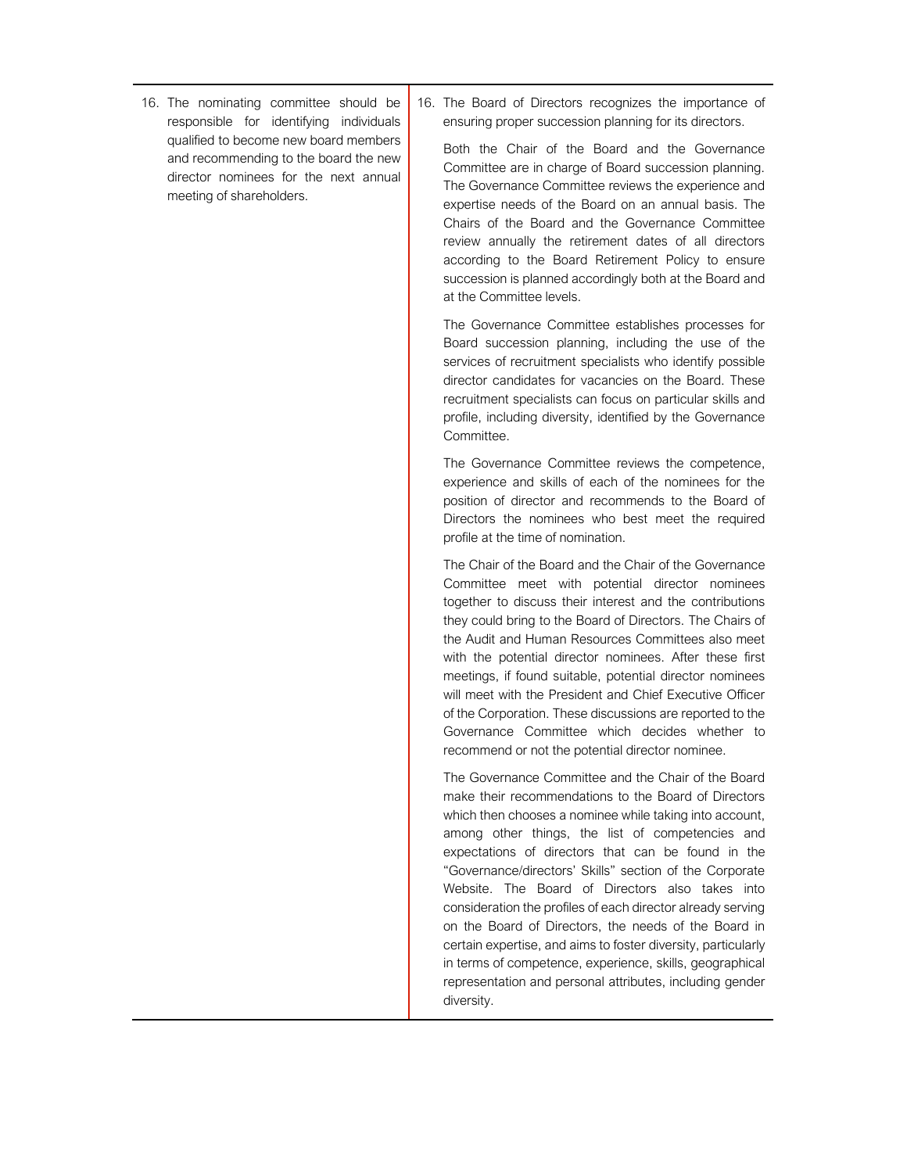- 16. The nominating committee should be responsible for identifying individuals qualified to become new board members and recommending to the board the new director nominees for the next annual meeting of shareholders.
- 16. The Board of Directors recognizes the importance of ensuring proper succession planning for its directors.

Both the Chair of the Board and the Governance Committee are in charge of Board succession planning. The Governance Committee reviews the experience and expertise needs of the Board on an annual basis. The Chairs of the Board and the Governance Committee review annually the retirement dates of all directors according to the Board Retirement Policy to ensure succession is planned accordingly both at the Board and at the Committee levels.

The Governance Committee establishes processes for Board succession planning, including the use of the services of recruitment specialists who identify possible director candidates for vacancies on the Board. These recruitment specialists can focus on particular skills and profile, including diversity, identified by the Governance Committee.

The Governance Committee reviews the competence, experience and skills of each of the nominees for the position of director and recommends to the Board of Directors the nominees who best meet the required profile at the time of nomination.

The Chair of the Board and the Chair of the Governance Committee meet with potential director nominees together to discuss their interest and the contributions they could bring to the Board of Directors. The Chairs of the Audit and Human Resources Committees also meet with the potential director nominees. After these first meetings, if found suitable, potential director nominees will meet with the President and Chief Executive Officer of the Corporation. These discussions are reported to the Governance Committee which decides whether to recommend or not the potential director nominee.

The Governance Committee and the Chair of the Board make their recommendations to the Board of Directors which then chooses a nominee while taking into account, among other things, the list of competencies and expectations of directors that can be found in the "Governance/directors' Skills" section of the Corporate Website. The Board of Directors also takes into consideration the profiles of each director already serving on the Board of Directors, the needs of the Board in certain expertise, and aims to foster diversity, particularly in terms of competence, experience, skills, geographical representation and personal attributes, including gender diversity.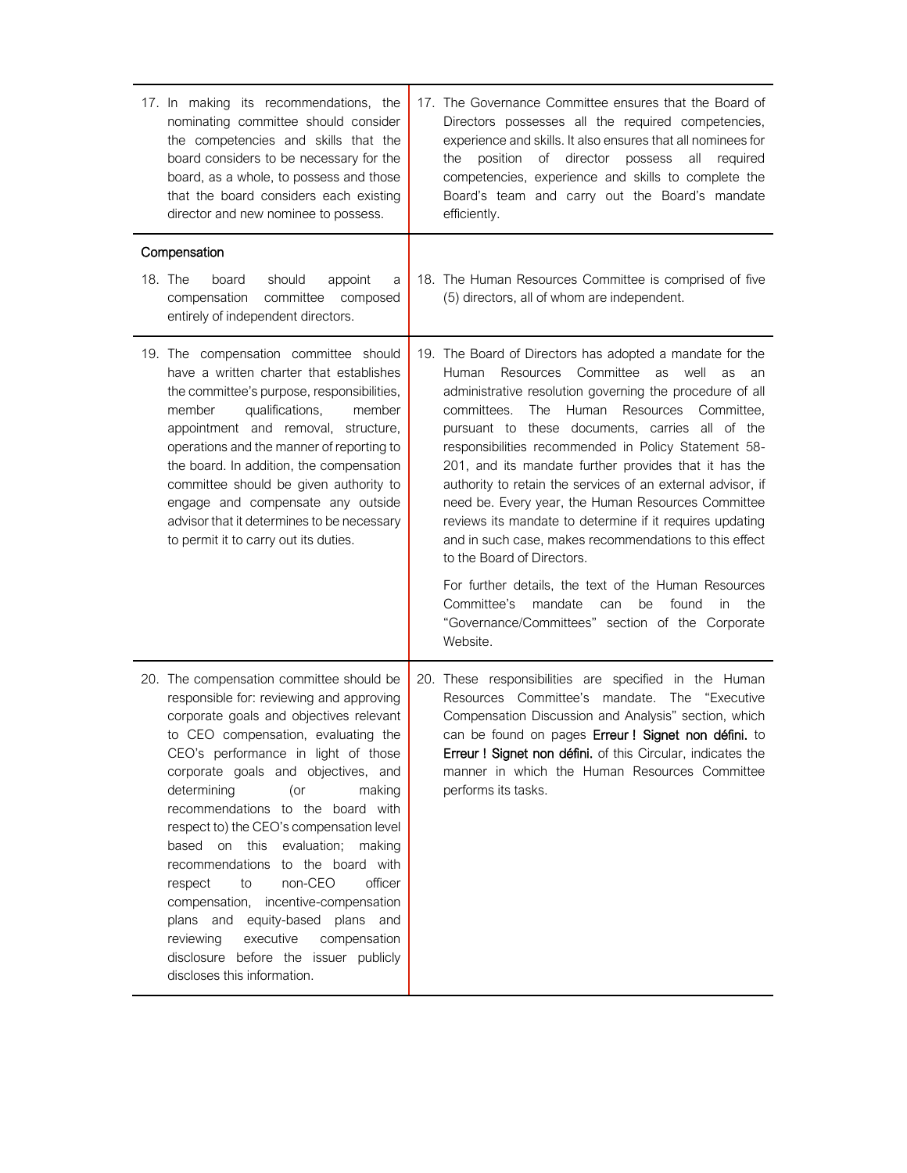| 17. In making its recommendations, the<br>nominating committee should consider<br>the competencies and skills that the<br>board considers to be necessary for the<br>board, as a whole, to possess and those<br>that the board considers each existing<br>director and new nominee to possess.                                                                                                                                                                                                                                                                                                                                                                                         | 17. The Governance Committee ensures that the Board of<br>Directors possesses all the required competencies,<br>experience and skills. It also ensures that all nominees for<br>of<br>director<br>all<br>the<br>position<br>possess<br>required<br>competencies, experience and skills to complete the<br>Board's team and carry out the Board's mandate<br>efficiently.                                                                                                                                                                                                                                                                                                                                                                                                                                                                                                    |
|----------------------------------------------------------------------------------------------------------------------------------------------------------------------------------------------------------------------------------------------------------------------------------------------------------------------------------------------------------------------------------------------------------------------------------------------------------------------------------------------------------------------------------------------------------------------------------------------------------------------------------------------------------------------------------------|-----------------------------------------------------------------------------------------------------------------------------------------------------------------------------------------------------------------------------------------------------------------------------------------------------------------------------------------------------------------------------------------------------------------------------------------------------------------------------------------------------------------------------------------------------------------------------------------------------------------------------------------------------------------------------------------------------------------------------------------------------------------------------------------------------------------------------------------------------------------------------|
| Compensation                                                                                                                                                                                                                                                                                                                                                                                                                                                                                                                                                                                                                                                                           |                                                                                                                                                                                                                                                                                                                                                                                                                                                                                                                                                                                                                                                                                                                                                                                                                                                                             |
| 18. The<br>board<br>should<br>appoint<br>a<br>compensation<br>committee<br>composed<br>entirely of independent directors.                                                                                                                                                                                                                                                                                                                                                                                                                                                                                                                                                              | 18. The Human Resources Committee is comprised of five<br>(5) directors, all of whom are independent.                                                                                                                                                                                                                                                                                                                                                                                                                                                                                                                                                                                                                                                                                                                                                                       |
| 19. The compensation committee should<br>have a written charter that establishes<br>the committee's purpose, responsibilities,<br>member<br>qualifications,<br>member<br>appointment and removal, structure,<br>operations and the manner of reporting to<br>the board. In addition, the compensation<br>committee should be given authority to<br>engage and compensate any outside<br>advisor that it determines to be necessary<br>to permit it to carry out its duties.                                                                                                                                                                                                            | 19. The Board of Directors has adopted a mandate for the<br>Committee<br>Resources<br>well<br>Human<br>as<br>as<br>an<br>administrative resolution governing the procedure of all<br>Human<br>committees.<br>The<br>Resources Committee.<br>pursuant to these documents, carries all of the<br>responsibilities recommended in Policy Statement 58-<br>201, and its mandate further provides that it has the<br>authority to retain the services of an external advisor, if<br>need be. Every year, the Human Resources Committee<br>reviews its mandate to determine if it requires updating<br>and in such case, makes recommendations to this effect<br>to the Board of Directors.<br>For further details, the text of the Human Resources<br>Committee's<br>mandate<br>found<br>the<br>can<br>be<br>in.<br>"Governance/Committees" section of the Corporate<br>Website. |
| 20. The compensation committee should be<br>responsible for: reviewing and approving<br>corporate goals and objectives relevant<br>to CEO compensation, evaluating the<br>CEO's performance in light of those<br>corporate goals and objectives, and<br>determining<br>(or<br>making<br>recommendations to the board with<br>respect to) the CEO's compensation level<br>based on this evaluation;<br>making<br>recommendations to the board with<br>non-CEO<br>officer<br>to<br>respect<br>compensation, incentive-compensation<br>plans and equity-based plans and<br>reviewing<br>executive<br>compensation<br>disclosure before the issuer publicly<br>discloses this information. | 20. These responsibilities are specified in the Human<br>Resources Committee's mandate. The "Executive<br>Compensation Discussion and Analysis" section, which<br>can be found on pages Erreur ! Signet non défini. to<br>Erreur ! Signet non défini. of this Circular, indicates the<br>manner in which the Human Resources Committee<br>performs its tasks.                                                                                                                                                                                                                                                                                                                                                                                                                                                                                                               |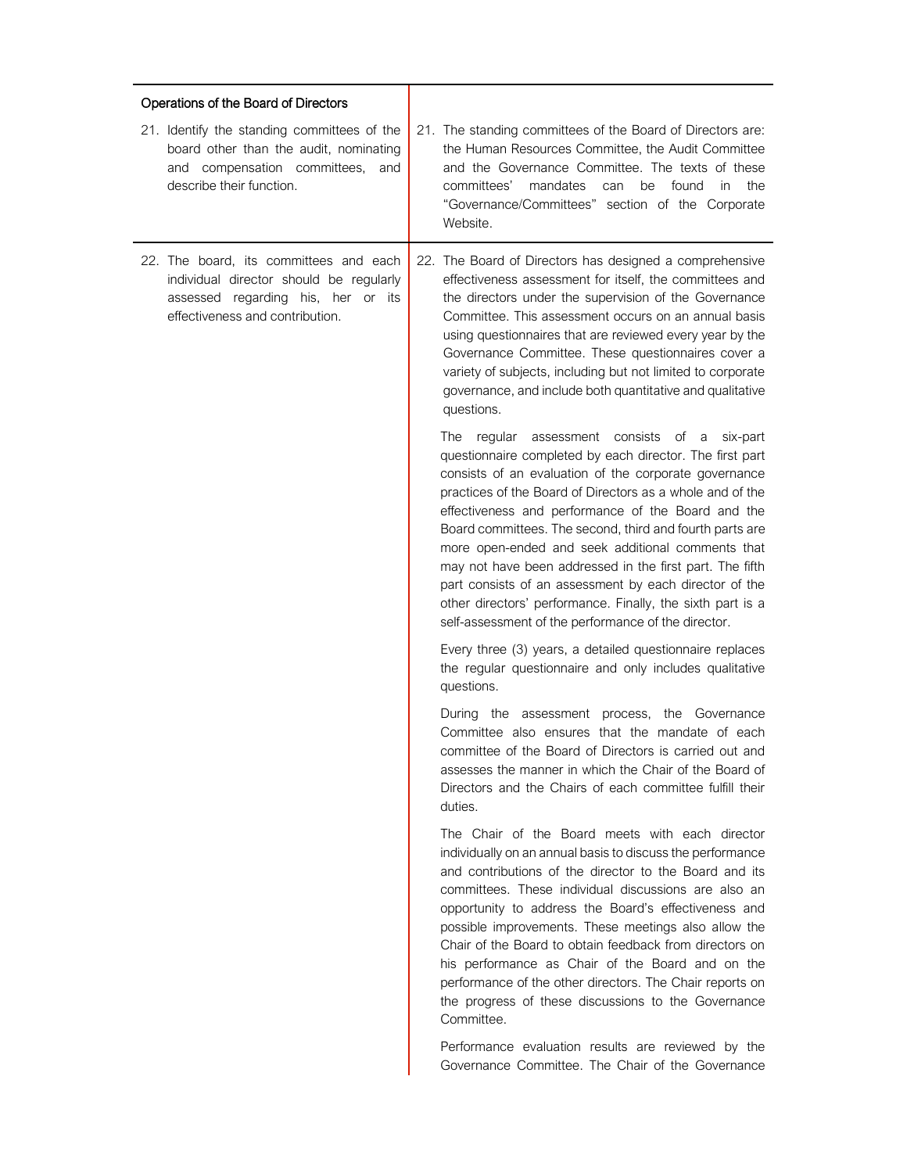| Operations of the Board of Directors                                                                                                                       |                                                                                                                                                                                                                                                                                                                                                                                                                                                                                                                                                                                                                                                      |
|------------------------------------------------------------------------------------------------------------------------------------------------------------|------------------------------------------------------------------------------------------------------------------------------------------------------------------------------------------------------------------------------------------------------------------------------------------------------------------------------------------------------------------------------------------------------------------------------------------------------------------------------------------------------------------------------------------------------------------------------------------------------------------------------------------------------|
| 21. Identify the standing committees of the<br>board other than the audit, nominating<br>and compensation committees, and<br>describe their function.      | 21. The standing committees of the Board of Directors are:<br>the Human Resources Committee, the Audit Committee<br>and the Governance Committee. The texts of these<br>committees'<br>mandates<br>be<br>found<br>the<br>can<br>in.<br>"Governance/Committees" section of the Corporate<br>Website.                                                                                                                                                                                                                                                                                                                                                  |
| 22. The board, its committees and each<br>individual director should be regularly<br>assessed regarding his, her or its<br>effectiveness and contribution. | 22. The Board of Directors has designed a comprehensive<br>effectiveness assessment for itself, the committees and<br>the directors under the supervision of the Governance<br>Committee. This assessment occurs on an annual basis<br>using questionnaires that are reviewed every year by the<br>Governance Committee. These questionnaires cover a<br>variety of subjects, including but not limited to corporate<br>governance, and include both quantitative and qualitative<br>questions.                                                                                                                                                      |
|                                                                                                                                                            | The regular assessment consists of a<br>six-part<br>questionnaire completed by each director. The first part<br>consists of an evaluation of the corporate governance<br>practices of the Board of Directors as a whole and of the<br>effectiveness and performance of the Board and the<br>Board committees. The second, third and fourth parts are<br>more open-ended and seek additional comments that<br>may not have been addressed in the first part. The fifth<br>part consists of an assessment by each director of the<br>other directors' performance. Finally, the sixth part is a<br>self-assessment of the performance of the director. |
|                                                                                                                                                            | Every three (3) years, a detailed questionnaire replaces<br>the regular questionnaire and only includes qualitative<br>questions.                                                                                                                                                                                                                                                                                                                                                                                                                                                                                                                    |
|                                                                                                                                                            | During the assessment process, the Governance<br>Committee also ensures that the mandate of each<br>committee of the Board of Directors is carried out and<br>assesses the manner in which the Chair of the Board of<br>Directors and the Chairs of each committee fulfill their<br>duties.                                                                                                                                                                                                                                                                                                                                                          |
|                                                                                                                                                            | The Chair of the Board meets with each director<br>individually on an annual basis to discuss the performance<br>and contributions of the director to the Board and its<br>committees. These individual discussions are also an<br>opportunity to address the Board's effectiveness and<br>possible improvements. These meetings also allow the<br>Chair of the Board to obtain feedback from directors on<br>his performance as Chair of the Board and on the<br>performance of the other directors. The Chair reports on<br>the progress of these discussions to the Governance<br>Committee.                                                      |
|                                                                                                                                                            | Performance evaluation results are reviewed by the<br>Governance Committee. The Chair of the Governance                                                                                                                                                                                                                                                                                                                                                                                                                                                                                                                                              |

٦